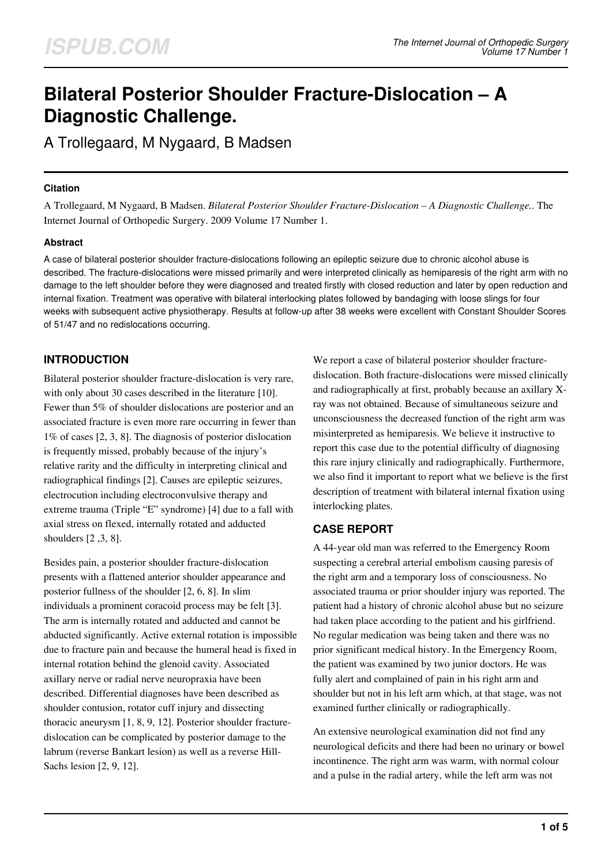# **Bilateral Posterior Shoulder Fracture-Dislocation – A Diagnostic Challenge.**

A Trollegaard, M Nygaard, B Madsen

## **Citation**

A Trollegaard, M Nygaard, B Madsen. *Bilateral Posterior Shoulder Fracture-Dislocation – A Diagnostic Challenge.*. The Internet Journal of Orthopedic Surgery. 2009 Volume 17 Number 1.

# **Abstract**

A case of bilateral posterior shoulder fracture-dislocations following an epileptic seizure due to chronic alcohol abuse is described. The fracture-dislocations were missed primarily and were interpreted clinically as hemiparesis of the right arm with no damage to the left shoulder before they were diagnosed and treated firstly with closed reduction and later by open reduction and internal fixation. Treatment was operative with bilateral interlocking plates followed by bandaging with loose slings for four weeks with subsequent active physiotherapy. Results at follow-up after 38 weeks were excellent with Constant Shoulder Scores of 51/47 and no redislocations occurring.

# **INTRODUCTION**

Bilateral posterior shoulder fracture-dislocation is very rare, with only about 30 cases described in the literature [10]. Fewer than 5% of shoulder dislocations are posterior and an associated fracture is even more rare occurring in fewer than 1% of cases [2, 3, 8]. The diagnosis of posterior dislocation is frequently missed, probably because of the injury's relative rarity and the difficulty in interpreting clinical and radiographical findings [2]. Causes are epileptic seizures, electrocution including electroconvulsive therapy and extreme trauma (Triple "E" syndrome) [4] due to a fall with axial stress on flexed, internally rotated and adducted shoulders [2 ,3, 8].

Besides pain, a posterior shoulder fracture-dislocation presents with a flattened anterior shoulder appearance and posterior fullness of the shoulder [2, 6, 8]. In slim individuals a prominent coracoid process may be felt [3]. The arm is internally rotated and adducted and cannot be abducted significantly. Active external rotation is impossible due to fracture pain and because the humeral head is fixed in internal rotation behind the glenoid cavity. Associated axillary nerve or radial nerve neuropraxia have been described. Differential diagnoses have been described as shoulder contusion, rotator cuff injury and dissecting thoracic aneurysm [1, 8, 9, 12]. Posterior shoulder fracturedislocation can be complicated by posterior damage to the labrum (reverse Bankart lesion) as well as a reverse Hill-Sachs lesion [2, 9, 12].

We report a case of bilateral posterior shoulder fracturedislocation. Both fracture-dislocations were missed clinically and radiographically at first, probably because an axillary Xray was not obtained. Because of simultaneous seizure and unconsciousness the decreased function of the right arm was misinterpreted as hemiparesis. We believe it instructive to report this case due to the potential difficulty of diagnosing this rare injury clinically and radiographically. Furthermore, we also find it important to report what we believe is the first description of treatment with bilateral internal fixation using interlocking plates.

# **CASE REPORT**

A 44-year old man was referred to the Emergency Room suspecting a cerebral arterial embolism causing paresis of the right arm and a temporary loss of consciousness. No associated trauma or prior shoulder injury was reported. The patient had a history of chronic alcohol abuse but no seizure had taken place according to the patient and his girlfriend. No regular medication was being taken and there was no prior significant medical history. In the Emergency Room, the patient was examined by two junior doctors. He was fully alert and complained of pain in his right arm and shoulder but not in his left arm which, at that stage, was not examined further clinically or radiographically.

An extensive neurological examination did not find any neurological deficits and there had been no urinary or bowel incontinence. The right arm was warm, with normal colour and a pulse in the radial artery, while the left arm was not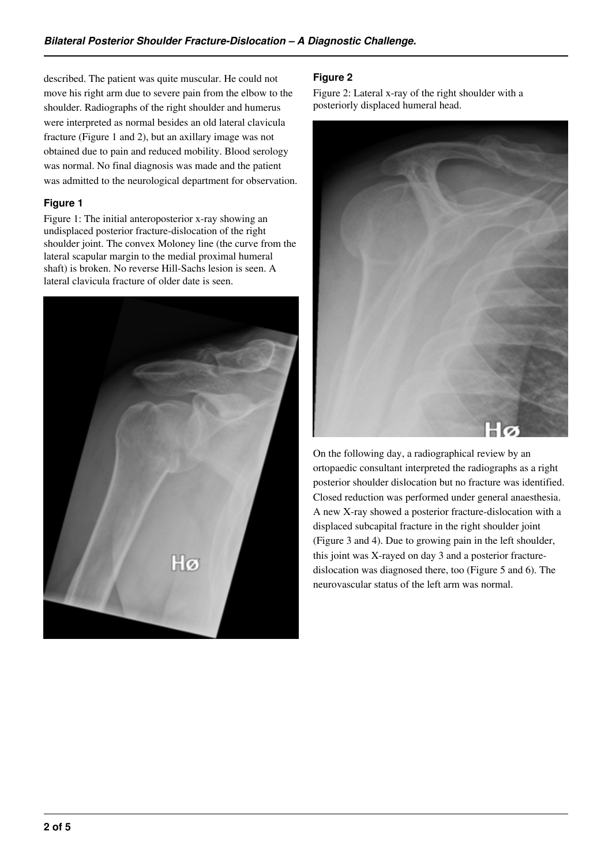described. The patient was quite muscular. He could not move his right arm due to severe pain from the elbow to the shoulder. Radiographs of the right shoulder and humerus were interpreted as normal besides an old lateral clavicula fracture (Figure 1 and 2), but an axillary image was not obtained due to pain and reduced mobility. Blood serology was normal. No final diagnosis was made and the patient was admitted to the neurological department for observation.

#### **Figure 1**

Figure 1: The initial anteroposterior x-ray showing an undisplaced posterior fracture-dislocation of the right shoulder joint. The convex Moloney line (the curve from the lateral scapular margin to the medial proximal humeral shaft) is broken. No reverse Hill-Sachs lesion is seen. A lateral clavicula fracture of older date is seen.



## **Figure 2**

Figure 2: Lateral x-ray of the right shoulder with a posteriorly displaced humeral head.



On the following day, a radiographical review by an ortopaedic consultant interpreted the radiographs as a right posterior shoulder dislocation but no fracture was identified. Closed reduction was performed under general anaesthesia. A new X-ray showed a posterior fracture-dislocation with a displaced subcapital fracture in the right shoulder joint (Figure 3 and 4). Due to growing pain in the left shoulder, this joint was X-rayed on day 3 and a posterior fracturedislocation was diagnosed there, too (Figure 5 and 6). The neurovascular status of the left arm was normal.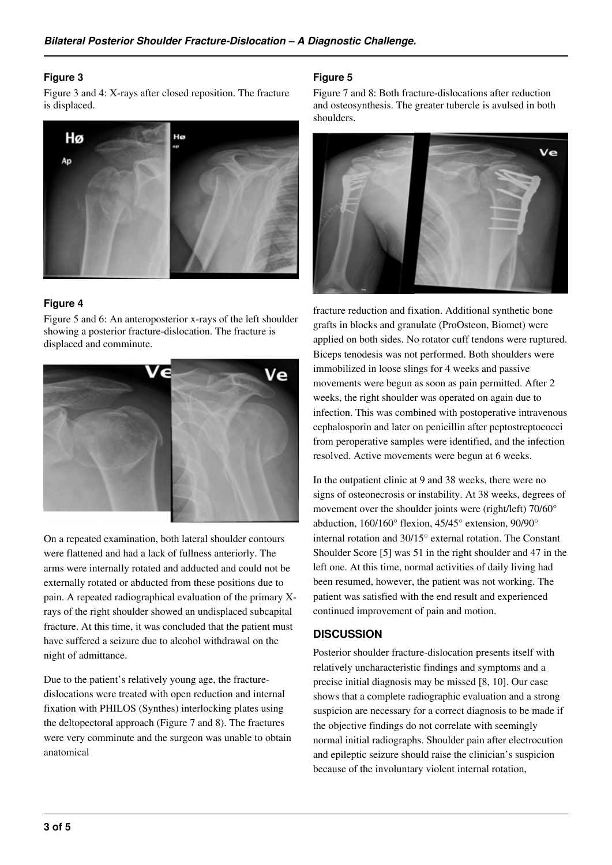#### **Figure 3**

Figure 3 and 4: X-rays after closed reposition. The fracture is displaced.



## **Figure 4**

Figure 5 and 6: An anteroposterior x-rays of the left shoulder showing a posterior fracture-dislocation. The fracture is displaced and comminute.



On a repeated examination, both lateral shoulder contours were flattened and had a lack of fullness anteriorly. The arms were internally rotated and adducted and could not be externally rotated or abducted from these positions due to pain. A repeated radiographical evaluation of the primary Xrays of the right shoulder showed an undisplaced subcapital fracture. At this time, it was concluded that the patient must have suffered a seizure due to alcohol withdrawal on the night of admittance.

Due to the patient's relatively young age, the fracturedislocations were treated with open reduction and internal fixation with PHILOS (Synthes) interlocking plates using the deltopectoral approach (Figure 7 and 8). The fractures were very comminute and the surgeon was unable to obtain anatomical

## **Figure 5**

Figure 7 and 8: Both fracture-dislocations after reduction and osteosynthesis. The greater tubercle is avulsed in both shoulders.



fracture reduction and fixation. Additional synthetic bone grafts in blocks and granulate (ProOsteon, Biomet) were applied on both sides. No rotator cuff tendons were ruptured. Biceps tenodesis was not performed. Both shoulders were immobilized in loose slings for 4 weeks and passive movements were begun as soon as pain permitted. After 2 weeks, the right shoulder was operated on again due to infection. This was combined with postoperative intravenous cephalosporin and later on penicillin after peptostreptococci from peroperative samples were identified, and the infection resolved. Active movements were begun at 6 weeks.

In the outpatient clinic at 9 and 38 weeks, there were no signs of osteonecrosis or instability. At 38 weeks, degrees of movement over the shoulder joints were (right/left) 70/60° abduction, 160/160° flexion, 45/45° extension, 90/90° internal rotation and 30/15° external rotation. The Constant Shoulder Score [5] was 51 in the right shoulder and 47 in the left one. At this time, normal activities of daily living had been resumed, however, the patient was not working. The patient was satisfied with the end result and experienced continued improvement of pain and motion.

#### **DISCUSSION**

Posterior shoulder fracture-dislocation presents itself with relatively uncharacteristic findings and symptoms and a precise initial diagnosis may be missed [8, 10]. Our case shows that a complete radiographic evaluation and a strong suspicion are necessary for a correct diagnosis to be made if the objective findings do not correlate with seemingly normal initial radiographs. Shoulder pain after electrocution and epileptic seizure should raise the clinician's suspicion because of the involuntary violent internal rotation,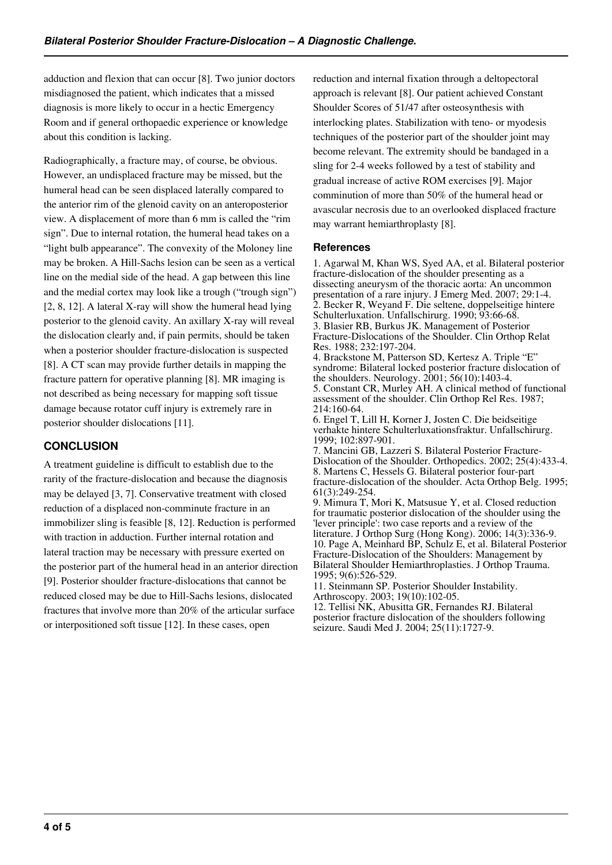adduction and flexion that can occur [8]. Two junior doctors misdiagnosed the patient, which indicates that a missed diagnosis is more likely to occur in a hectic Emergency Room and if general orthopaedic experience or knowledge about this condition is lacking.

Radiographically, a fracture may, of course, be obvious. However, an undisplaced fracture may be missed, but the humeral head can be seen displaced laterally compared to the anterior rim of the glenoid cavity on an anteroposterior view. A displacement of more than 6 mm is called the "rim sign". Due to internal rotation, the humeral head takes on a "light bulb appearance". The convexity of the Moloney line may be broken. A Hill-Sachs lesion can be seen as a vertical line on the medial side of the head. A gap between this line and the medial cortex may look like a trough ("trough sign") [2, 8, 12]. A lateral X-ray will show the humeral head lying posterior to the glenoid cavity. An axillary X-ray will reveal the dislocation clearly and, if pain permits, should be taken when a posterior shoulder fracture-dislocation is suspected [8]. A CT scan may provide further details in mapping the fracture pattern for operative planning [8]. MR imaging is not described as being necessary for mapping soft tissue damage because rotator cuff injury is extremely rare in posterior shoulder dislocations [11].

# **CONCLUSION**

A treatment guideline is difficult to establish due to the rarity of the fracture-dislocation and because the diagnosis may be delayed [3, 7]. Conservative treatment with closed reduction of a displaced non-comminute fracture in an immobilizer sling is feasible [8, 12]. Reduction is performed with traction in adduction. Further internal rotation and lateral traction may be necessary with pressure exerted on the posterior part of the humeral head in an anterior direction [9]. Posterior shoulder fracture-dislocations that cannot be reduced closed may be due to Hill-Sachs lesions, dislocated fractures that involve more than 20% of the articular surface or interpositioned soft tissue [12]. In these cases, open

reduction and internal fixation through a deltopectoral approach is relevant [8]. Our patient achieved Constant Shoulder Scores of 51/47 after osteosynthesis with interlocking plates. Stabilization with teno- or myodesis techniques of the posterior part of the shoulder joint may become relevant. The extremity should be bandaged in a sling for 2-4 weeks followed by a test of stability and gradual increase of active ROM exercises [9]. Major comminution of more than 50% of the humeral head or avascular necrosis due to an overlooked displaced fracture may warrant hemiarthroplasty [8].

#### **References**

1. Agarwal M, Khan WS, Syed AA, et al. Bilateral posterior fracture-dislocation of the shoulder presenting as a dissecting aneurysm of the thoracic aorta: An uncommon presentation of a rare injury. J Emerg Med. 2007; 29:1-4. 2. Becker R, Weyand F. Die seltene, doppelseitige hintere Schulterluxation. Unfallschirurg. 1990; 93:66-68. 3. Blasier RB, Burkus JK. Management of Posterior Fracture-Dislocations of the Shoulder. Clin Orthop Relat Res. 1988; 232:197-204.

4. Brackstone M, Patterson SD, Kertesz A. Triple "E" syndrome: Bilateral locked posterior fracture dislocation of the shoulders. Neurology. 2001; 56(10):1403-4. 5. Constant CR, Murley AH. A clinical method of functional assessment of the shoulder. Clin Orthop Rel Res. 1987; 214:160-64.

6. Engel T, Lill H, Korner J, Josten C. Die beidseitige verhakte hintere Schulterluxationsfraktur. Unfallschirurg. 1999; 102:897-901.

7. Mancini GB, Lazzeri S. Bilateral Posterior Fracture-Dislocation of the Shoulder. Orthopedics. 2002; 25(4):433-4. 8. Martens C, Hessels G. Bilateral posterior four-part fracture-dislocation of the shoulder. Acta Orthop Belg. 1995; 61(3):249-254.

9. Mimura T, Mori K, Matsusue Y, et al. Closed reduction for traumatic posterior dislocation of the shoulder using the 'lever principle': two case reports and a review of the literature. J Orthop Surg (Hong Kong). 2006; 14(3):336-9. 10. Page A, Meinhard BP, Schulz E, et al. Bilateral Posterior Fracture-Dislocation of the Shoulders: Management by Bilateral Shoulder Hemiarthroplasties. J Orthop Trauma. 1995; 9(6):526-529.

11. Steinmann SP. Posterior Shoulder Instability. Arthroscopy. 2003; 19(10):102-05.

12. Tellisi NK, Abusitta GR, Fernandes RJ. Bilateral posterior fracture dislocation of the shoulders following seizure. Saudi Med J. 2004; 25(11):1727-9.